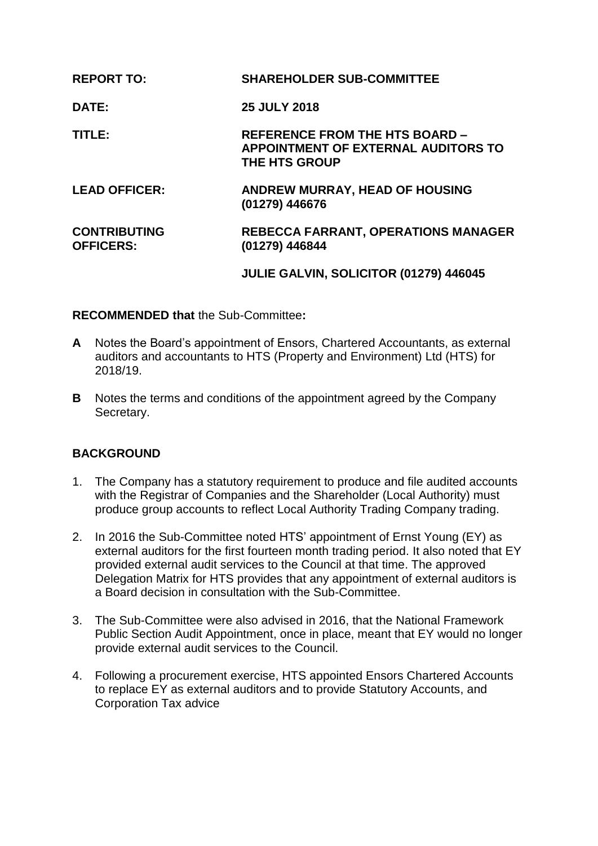| <b>REPORT TO:</b>                       | <b>SHAREHOLDER SUB-COMMITTEE</b>                                                                     |
|-----------------------------------------|------------------------------------------------------------------------------------------------------|
| DATE:                                   | <b>25 JULY 2018</b>                                                                                  |
| TITLE:                                  | <b>REFERENCE FROM THE HTS BOARD -</b><br>APPOINTMENT OF EXTERNAL AUDITORS TO<br><b>THE HTS GROUP</b> |
| <b>LEAD OFFICER:</b>                    | ANDREW MURRAY, HEAD OF HOUSING<br>(01279) 446676                                                     |
| <b>CONTRIBUTING</b><br><b>OFFICERS:</b> | <b>REBECCA FARRANT, OPERATIONS MANAGER</b><br>(01279) 446844                                         |
|                                         | JULIE GALVIN, SOLICITOR (01279) 446045                                                               |

## **RECOMMENDED that** the Sub-Committee**:**

- **A** Notes the Board's appointment of Ensors, Chartered Accountants, as external auditors and accountants to HTS (Property and Environment) Ltd (HTS) for 2018/19.
- **B** Notes the terms and conditions of the appointment agreed by the Company Secretary.

# **BACKGROUND**

- 1. The Company has a statutory requirement to produce and file audited accounts with the Registrar of Companies and the Shareholder (Local Authority) must produce group accounts to reflect Local Authority Trading Company trading.
- 2. In 2016 the Sub-Committee noted HTS' appointment of Ernst Young (EY) as external auditors for the first fourteen month trading period. It also noted that EY provided external audit services to the Council at that time. The approved Delegation Matrix for HTS provides that any appointment of external auditors is a Board decision in consultation with the Sub-Committee.
- 3. The Sub-Committee were also advised in 2016, that the National Framework Public Section Audit Appointment, once in place, meant that EY would no longer provide external audit services to the Council.
- 4. Following a procurement exercise, HTS appointed Ensors Chartered Accounts to replace EY as external auditors and to provide Statutory Accounts, and Corporation Tax advice